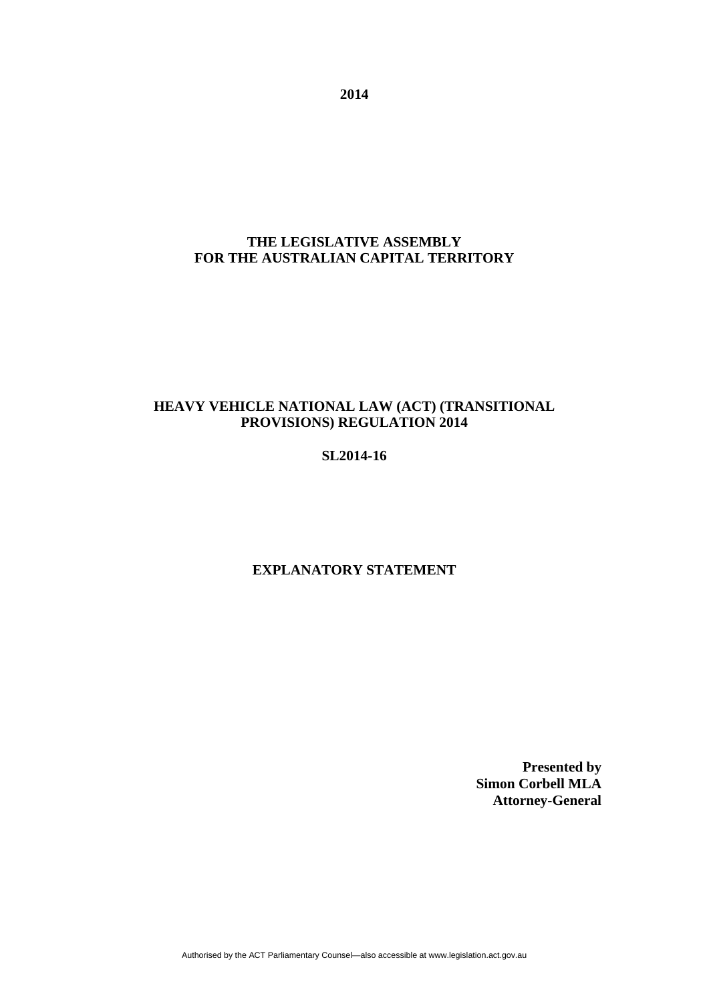**2014** 

# **THE LEGISLATIVE ASSEMBLY FOR THE AUSTRALIAN CAPITAL TERRITORY**

# **HEAVY VEHICLE NATIONAL LAW (ACT) (TRANSITIONAL PROVISIONS) REGULATION 2014**

## **SL2014-16**

## **EXPLANATORY STATEMENT**

**Presented by Simon Corbell MLA Attorney-General**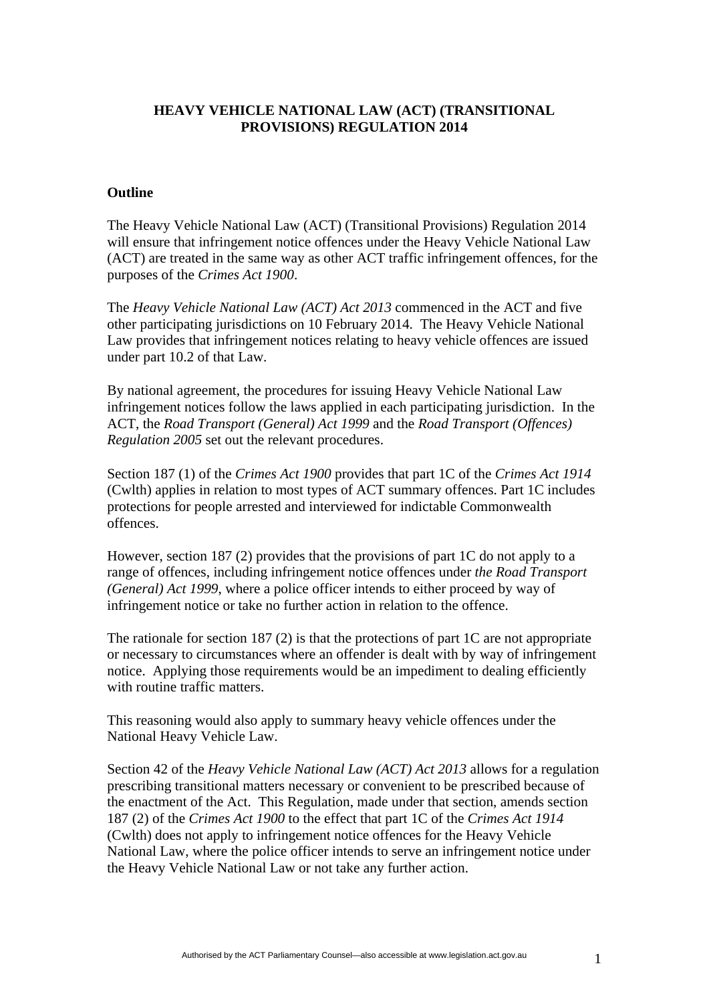## **HEAVY VEHICLE NATIONAL LAW (ACT) (TRANSITIONAL PROVISIONS) REGULATION 2014**

#### **Outline**

The Heavy Vehicle National Law (ACT) (Transitional Provisions) Regulation 2014 will ensure that infringement notice offences under the Heavy Vehicle National Law (ACT) are treated in the same way as other ACT traffic infringement offences, for the purposes of the *Crimes Act 1900*.

The *Heavy Vehicle National Law (ACT) Act 2013* commenced in the ACT and five other participating jurisdictions on 10 February 2014. The Heavy Vehicle National Law provides that infringement notices relating to heavy vehicle offences are issued under part 10.2 of that Law.

By national agreement, the procedures for issuing Heavy Vehicle National Law infringement notices follow the laws applied in each participating jurisdiction. In the ACT, the *Road Transport (General) Act 1999* and the *Road Transport (Offences) Regulation 2005* set out the relevant procedures.

Section 187 (1) of the *Crimes Act 1900* provides that part 1C of the *Crimes Act 1914* (Cwlth) applies in relation to most types of ACT summary offences. Part 1C includes protections for people arrested and interviewed for indictable Commonwealth offences.

However, section 187 (2) provides that the provisions of part 1C do not apply to a range of offences, including infringement notice offences under *the Road Transport (General) Act 1999*, where a police officer intends to either proceed by way of infringement notice or take no further action in relation to the offence.

The rationale for section 187 (2) is that the protections of part 1C are not appropriate or necessary to circumstances where an offender is dealt with by way of infringement notice. Applying those requirements would be an impediment to dealing efficiently with routine traffic matters.

This reasoning would also apply to summary heavy vehicle offences under the National Heavy Vehicle Law.

Section 42 of the *Heavy Vehicle National Law (ACT) Act 2013* allows for a regulation prescribing transitional matters necessary or convenient to be prescribed because of the enactment of the Act. This Regulation, made under that section, amends section 187 (2) of the *Crimes Act 1900* to the effect that part 1C of the *Crimes Act 1914* (Cwlth) does not apply to infringement notice offences for the Heavy Vehicle National Law, where the police officer intends to serve an infringement notice under the Heavy Vehicle National Law or not take any further action.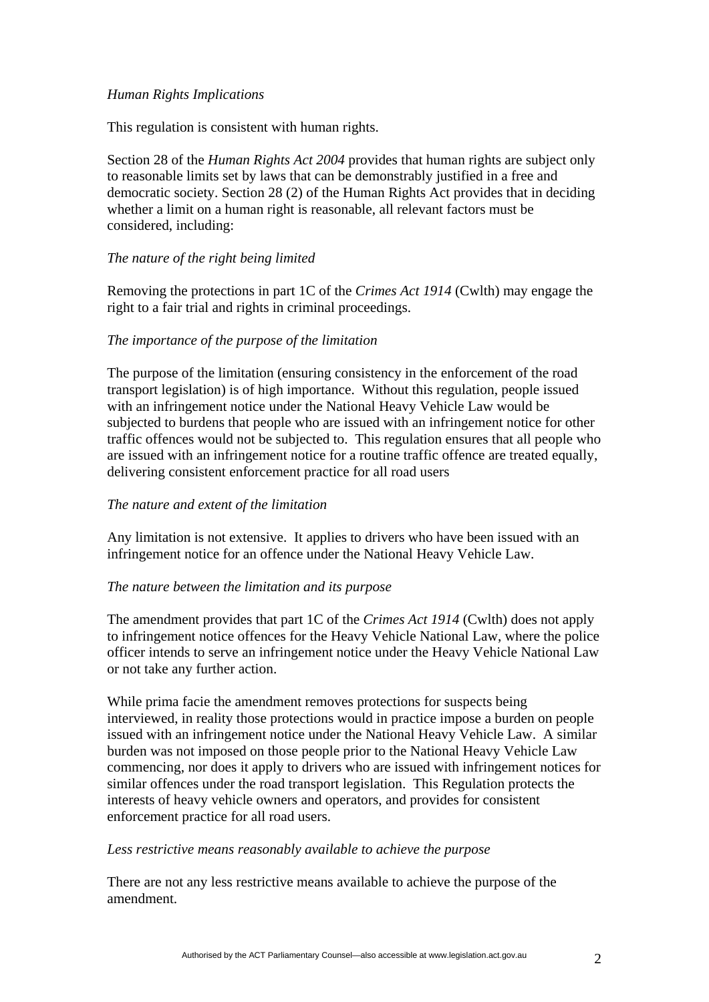## *Human Rights Implications*

This regulation is consistent with human rights.

Section 28 of the *Human Rights Act 2004* provides that human rights are subject only to reasonable limits set by laws that can be demonstrably justified in a free and democratic society. Section 28 (2) of the Human Rights Act provides that in deciding whether a limit on a human right is reasonable, all relevant factors must be considered, including:

## *The nature of the right being limited*

Removing the protections in part 1C of the *Crimes Act 1914* (Cwlth) may engage the right to a fair trial and rights in criminal proceedings.

#### *The importance of the purpose of the limitation*

The purpose of the limitation (ensuring consistency in the enforcement of the road transport legislation) is of high importance. Without this regulation, people issued with an infringement notice under the National Heavy Vehicle Law would be subjected to burdens that people who are issued with an infringement notice for other traffic offences would not be subjected to. This regulation ensures that all people who are issued with an infringement notice for a routine traffic offence are treated equally, delivering consistent enforcement practice for all road users

#### *The nature and extent of the limitation*

Any limitation is not extensive. It applies to drivers who have been issued with an infringement notice for an offence under the National Heavy Vehicle Law.

#### *The nature between the limitation and its purpose*

The amendment provides that part 1C of the *Crimes Act 1914* (Cwlth) does not apply to infringement notice offences for the Heavy Vehicle National Law, where the police officer intends to serve an infringement notice under the Heavy Vehicle National Law or not take any further action.

While prima facie the amendment removes protections for suspects being interviewed, in reality those protections would in practice impose a burden on people issued with an infringement notice under the National Heavy Vehicle Law. A similar burden was not imposed on those people prior to the National Heavy Vehicle Law commencing, nor does it apply to drivers who are issued with infringement notices for similar offences under the road transport legislation. This Regulation protects the interests of heavy vehicle owners and operators, and provides for consistent enforcement practice for all road users.

#### *Less restrictive means reasonably available to achieve the purpose*

There are not any less restrictive means available to achieve the purpose of the amendment.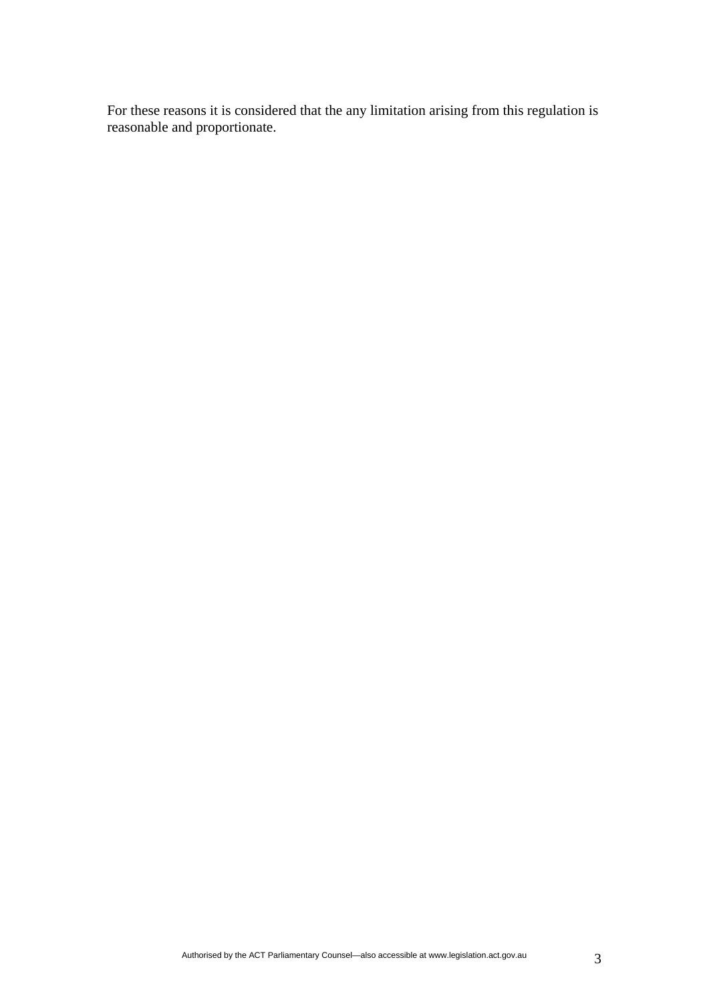For these reasons it is considered that the any limitation arising from this regulation is reasonable and proportionate.